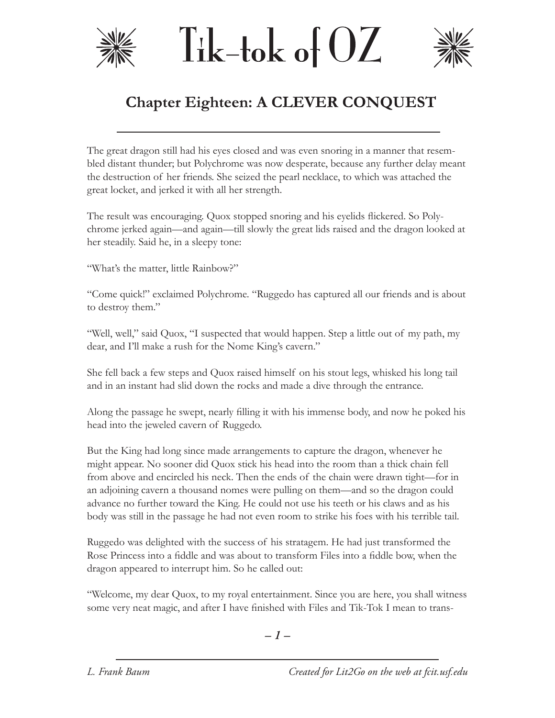





## **Chapter Eighteen: A CLEVER CONQUEST**

The great dragon still had his eyes closed and was even snoring in a manner that resembled distant thunder; but Polychrome was now desperate, because any further delay meant the destruction of her friends. She seized the pearl necklace, to which was attached the great locket, and jerked it with all her strength.

The result was encouraging. Quox stopped snoring and his eyelids flickered. So Polychrome jerked again—and again—till slowly the great lids raised and the dragon looked at her steadily. Said he, in a sleepy tone:

"What's the matter, little Rainbow?"

"Come quick!" exclaimed Polychrome. "Ruggedo has captured all our friends and is about to destroy them."

"Well, well," said Quox, "I suspected that would happen. Step a little out of my path, my dear, and I'll make a rush for the Nome King's cavern."

She fell back a few steps and Quox raised himself on his stout legs, whisked his long tail and in an instant had slid down the rocks and made a dive through the entrance.

Along the passage he swept, nearly filling it with his immense body, and now he poked his head into the jeweled cavern of Ruggedo.

But the King had long since made arrangements to capture the dragon, whenever he might appear. No sooner did Quox stick his head into the room than a thick chain fell from above and encircled his neck. Then the ends of the chain were drawn tight—for in an adjoining cavern a thousand nomes were pulling on them—and so the dragon could advance no further toward the King. He could not use his teeth or his claws and as his body was still in the passage he had not even room to strike his foes with his terrible tail.

Ruggedo was delighted with the success of his stratagem. He had just transformed the Rose Princess into a fiddle and was about to transform Files into a fiddle bow, when the dragon appeared to interrupt him. So he called out:

"Welcome, my dear Quox, to my royal entertainment. Since you are here, you shall witness some very neat magic, and after I have finished with Files and Tik-Tok I mean to trans-

*– –*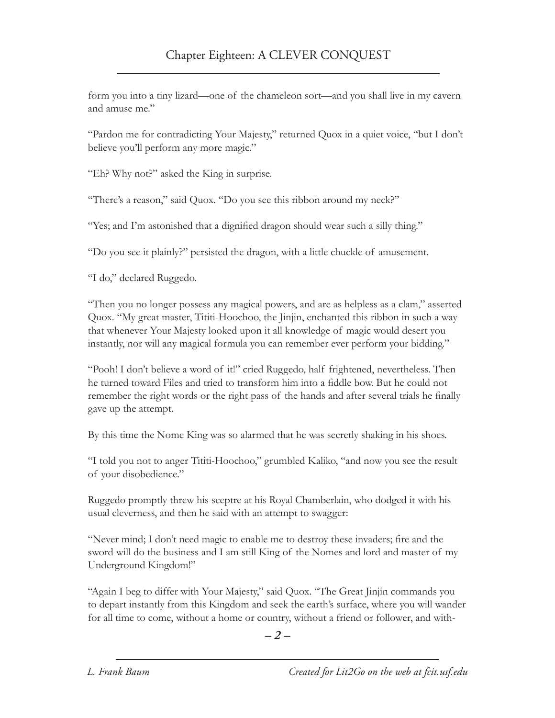form you into a tiny lizard—one of the chameleon sort—and you shall live in my cavern and amuse me."

"Pardon me for contradicting Your Majesty," returned Quox in a quiet voice, "but I don't believe you'll perform any more magic."

"Eh? Why not?" asked the King in surprise.

"There's a reason," said Quox. "Do you see this ribbon around my neck?"

"Yes; and I'm astonished that a dignified dragon should wear such a silly thing."

"Do you see it plainly?" persisted the dragon, with a little chuckle of amusement.

"I do," declared Ruggedo.

"Then you no longer possess any magical powers, and are as helpless as a clam," asserted Quox. "My great master, Tititi-Hoochoo, the Jinjin, enchanted this ribbon in such a way that whenever Your Majesty looked upon it all knowledge of magic would desert you instantly, nor will any magical formula you can remember ever perform your bidding."

"Pooh! I don't believe a word of it!" cried Ruggedo, half frightened, nevertheless. Then he turned toward Files and tried to transform him into a fiddle bow. But he could not remember the right words or the right pass of the hands and after several trials he finally gave up the attempt.

By this time the Nome King was so alarmed that he was secretly shaking in his shoes.

"I told you not to anger Tititi-Hoochoo," grumbled Kaliko, "and now you see the result of your disobedience."

Ruggedo promptly threw his sceptre at his Royal Chamberlain, who dodged it with his usual cleverness, and then he said with an attempt to swagger:

"Never mind; I don't need magic to enable me to destroy these invaders; fire and the sword will do the business and I am still King of the Nomes and lord and master of my Underground Kingdom!"

"Again I beg to differ with Your Majesty," said Quox. "The Great Jinjin commands you to depart instantly from this Kingdom and seek the earth's surface, where you will wander for all time to come, without a home or country, without a friend or follower, and with-

*– –*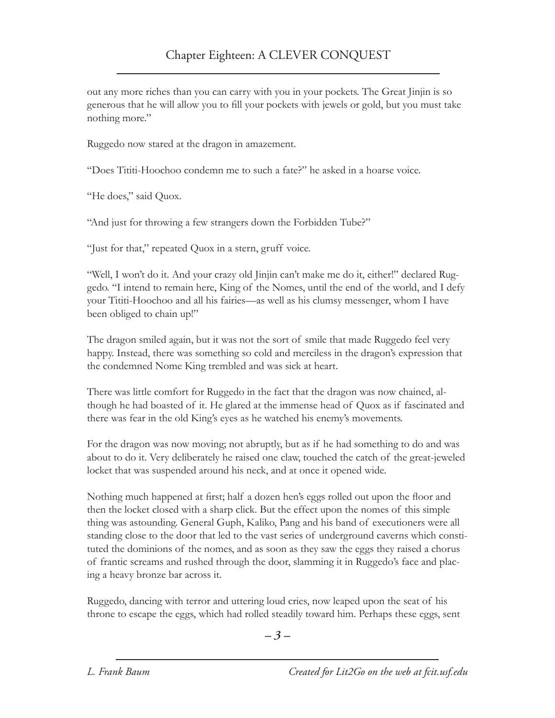out any more riches than you can carry with you in your pockets. The Great Jinjin is so generous that he will allow you to fill your pockets with jewels or gold, but you must take nothing more."

Ruggedo now stared at the dragon in amazement.

"Does Tititi-Hoochoo condemn me to such a fate?" he asked in a hoarse voice.

"He does," said Quox.

"And just for throwing a few strangers down the Forbidden Tube?"

"Just for that," repeated Quox in a stern, gruff voice.

"Well, I won't do it. And your crazy old Jinjin can't make me do it, either!" declared Ruggedo. "I intend to remain here, King of the Nomes, until the end of the world, and I defy your Tititi-Hoochoo and all his fairies—as well as his clumsy messenger, whom I have been obliged to chain up!"

The dragon smiled again, but it was not the sort of smile that made Ruggedo feel very happy. Instead, there was something so cold and merciless in the dragon's expression that the condemned Nome King trembled and was sick at heart.

There was little comfort for Ruggedo in the fact that the dragon was now chained, although he had boasted of it. He glared at the immense head of Quox as if fascinated and there was fear in the old King's eyes as he watched his enemy's movements.

For the dragon was now moving; not abruptly, but as if he had something to do and was about to do it. Very deliberately he raised one claw, touched the catch of the great-jeweled locket that was suspended around his neck, and at once it opened wide.

Nothing much happened at first; half a dozen hen's eggs rolled out upon the floor and then the locket closed with a sharp click. But the effect upon the nomes of this simple thing was astounding. General Guph, Kaliko, Pang and his band of executioners were all standing close to the door that led to the vast series of underground caverns which constituted the dominions of the nomes, and as soon as they saw the eggs they raised a chorus of frantic screams and rushed through the door, slamming it in Ruggedo's face and placing a heavy bronze bar across it.

Ruggedo, dancing with terror and uttering loud cries, now leaped upon the seat of his throne to escape the eggs, which had rolled steadily toward him. Perhaps these eggs, sent

*– –*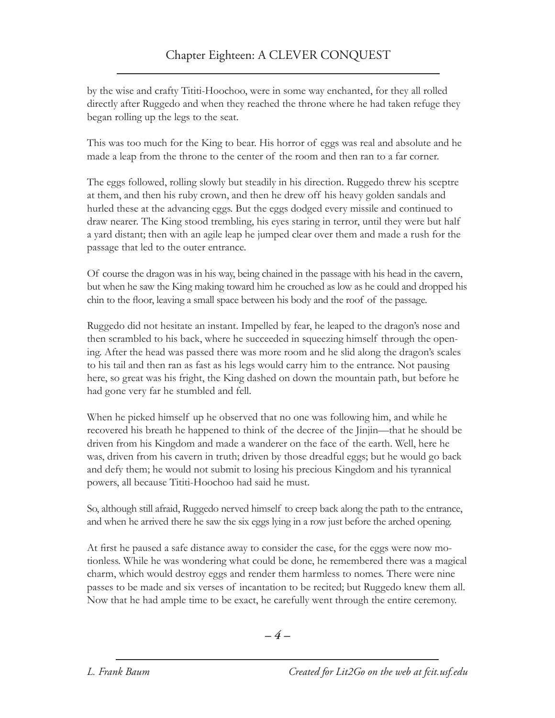by the wise and crafty Tititi-Hoochoo, were in some way enchanted, for they all rolled directly after Ruggedo and when they reached the throne where he had taken refuge they began rolling up the legs to the seat.

This was too much for the King to bear. His horror of eggs was real and absolute and he made a leap from the throne to the center of the room and then ran to a far corner.

The eggs followed, rolling slowly but steadily in his direction. Ruggedo threw his sceptre at them, and then his ruby crown, and then he drew off his heavy golden sandals and hurled these at the advancing eggs. But the eggs dodged every missile and continued to draw nearer. The King stood trembling, his eyes staring in terror, until they were but half a yard distant; then with an agile leap he jumped clear over them and made a rush for the passage that led to the outer entrance.

Of course the dragon was in his way, being chained in the passage with his head in the cavern, but when he saw the King making toward him he crouched as low as he could and dropped his chin to the floor, leaving a small space between his body and the roof of the passage.

Ruggedo did not hesitate an instant. Impelled by fear, he leaped to the dragon's nose and then scrambled to his back, where he succeeded in squeezing himself through the opening. After the head was passed there was more room and he slid along the dragon's scales to his tail and then ran as fast as his legs would carry him to the entrance. Not pausing here, so great was his fright, the King dashed on down the mountain path, but before he had gone very far he stumbled and fell.

When he picked himself up he observed that no one was following him, and while he recovered his breath he happened to think of the decree of the Jinjin—that he should be driven from his Kingdom and made a wanderer on the face of the earth. Well, here he was, driven from his cavern in truth; driven by those dreadful eggs; but he would go back and defy them; he would not submit to losing his precious Kingdom and his tyrannical powers, all because Tititi-Hoochoo had said he must.

So, although still afraid, Ruggedo nerved himself to creep back along the path to the entrance, and when he arrived there he saw the six eggs lying in a row just before the arched opening.

At first he paused a safe distance away to consider the case, for the eggs were now motionless. While he was wondering what could be done, he remembered there was a magical charm, which would destroy eggs and render them harmless to nomes. There were nine passes to be made and six verses of incantation to be recited; but Ruggedo knew them all. Now that he had ample time to be exact, he carefully went through the entire ceremony.